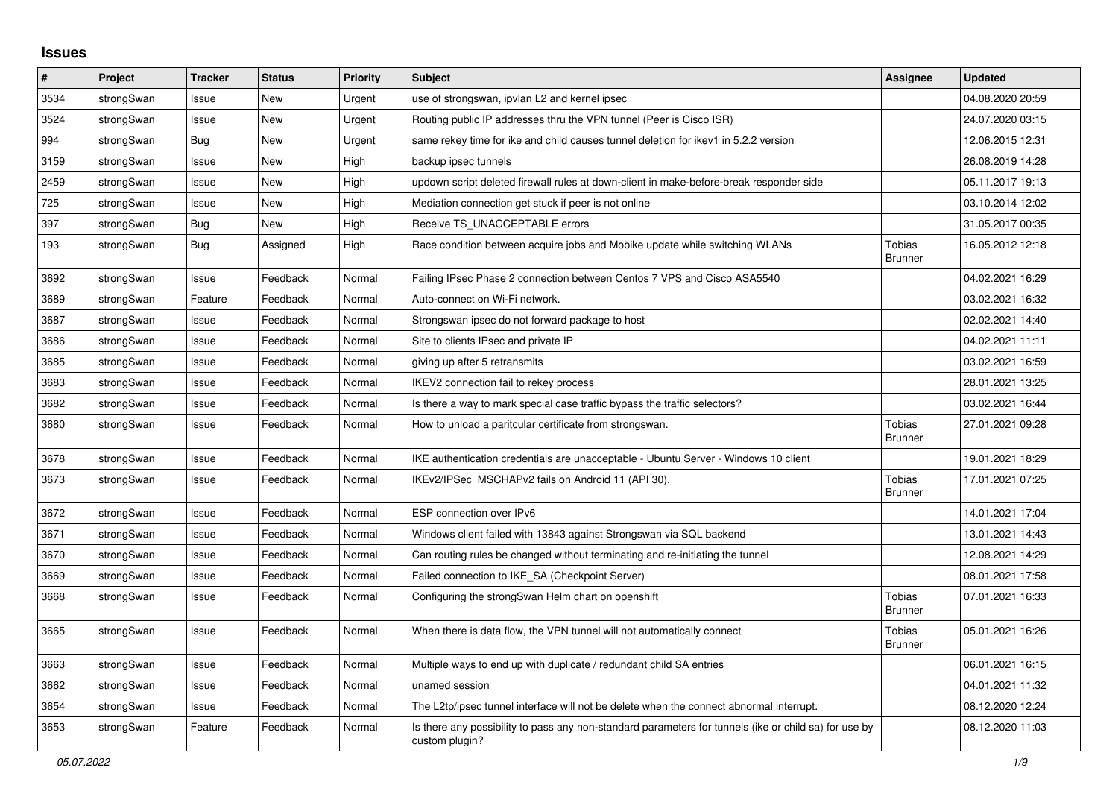## **Issues**

| #    | Project    | <b>Tracker</b> | <b>Status</b> | <b>Priority</b> | <b>Subject</b>                                                                                                          | Assignee                        | <b>Updated</b>   |
|------|------------|----------------|---------------|-----------------|-------------------------------------------------------------------------------------------------------------------------|---------------------------------|------------------|
| 3534 | strongSwan | Issue          | <b>New</b>    | Urgent          | use of strongswan, ipvlan L2 and kernel ipsec                                                                           |                                 | 04.08.2020 20:59 |
| 3524 | strongSwan | Issue          | <b>New</b>    | Urgent          | Routing public IP addresses thru the VPN tunnel (Peer is Cisco ISR)                                                     |                                 | 24.07.2020 03:15 |
| 994  | strongSwan | <b>Bug</b>     | <b>New</b>    | Urgent          | same rekey time for ike and child causes tunnel deletion for ikev1 in 5.2.2 version                                     |                                 | 12.06.2015 12:31 |
| 3159 | strongSwan | Issue          | New           | High            | backup ipsec tunnels                                                                                                    |                                 | 26.08.2019 14:28 |
| 2459 | strongSwan | Issue          | <b>New</b>    | High            | updown script deleted firewall rules at down-client in make-before-break responder side                                 |                                 | 05.11.2017 19:13 |
| 725  | strongSwan | Issue          | New           | High            | Mediation connection get stuck if peer is not online                                                                    |                                 | 03.10.2014 12:02 |
| 397  | strongSwan | <b>Bug</b>     | <b>New</b>    | High            | Receive TS UNACCEPTABLE errors                                                                                          |                                 | 31.05.2017 00:35 |
| 193  | strongSwan | Bug            | Assigned      | High            | Race condition between acquire jobs and Mobike update while switching WLANs                                             | Tobias<br><b>Brunner</b>        | 16.05.2012 12:18 |
| 3692 | strongSwan | Issue          | Feedback      | Normal          | Failing IPsec Phase 2 connection between Centos 7 VPS and Cisco ASA5540                                                 |                                 | 04.02.2021 16:29 |
| 3689 | strongSwan | Feature        | Feedback      | Normal          | Auto-connect on Wi-Fi network.                                                                                          |                                 | 03.02.2021 16:32 |
| 3687 | strongSwan | Issue          | Feedback      | Normal          | Strongswan ipsec do not forward package to host                                                                         |                                 | 02.02.2021 14:40 |
| 3686 | strongSwan | Issue          | Feedback      | Normal          | Site to clients IPsec and private IP                                                                                    |                                 | 04.02.2021 11:11 |
| 3685 | strongSwan | Issue          | Feedback      | Normal          | giving up after 5 retransmits                                                                                           |                                 | 03.02.2021 16:59 |
| 3683 | strongSwan | Issue          | Feedback      | Normal          | IKEV2 connection fail to rekey process                                                                                  |                                 | 28.01.2021 13:25 |
| 3682 | strongSwan | Issue          | Feedback      | Normal          | Is there a way to mark special case traffic bypass the traffic selectors?                                               |                                 | 03.02.2021 16:44 |
| 3680 | strongSwan | Issue          | Feedback      | Normal          | How to unload a paritcular certificate from strongswan.                                                                 | Tobias<br><b>Brunner</b>        | 27.01.2021 09:28 |
| 3678 | strongSwan | Issue          | Feedback      | Normal          | IKE authentication credentials are unacceptable - Ubuntu Server - Windows 10 client                                     |                                 | 19.01.2021 18:29 |
| 3673 | strongSwan | Issue          | Feedback      | Normal          | IKEv2/IPSec MSCHAPv2 fails on Android 11 (API 30).                                                                      | <b>Tobias</b><br><b>Brunner</b> | 17.01.2021 07:25 |
| 3672 | strongSwan | Issue          | Feedback      | Normal          | ESP connection over IPv6                                                                                                |                                 | 14.01.2021 17:04 |
| 3671 | strongSwan | Issue          | Feedback      | Normal          | Windows client failed with 13843 against Strongswan via SQL backend                                                     |                                 | 13.01.2021 14:43 |
| 3670 | strongSwan | Issue          | Feedback      | Normal          | Can routing rules be changed without terminating and re-initiating the tunnel                                           |                                 | 12.08.2021 14:29 |
| 3669 | strongSwan | Issue          | Feedback      | Normal          | Failed connection to IKE_SA (Checkpoint Server)                                                                         |                                 | 08.01.2021 17:58 |
| 3668 | strongSwan | Issue          | Feedback      | Normal          | Configuring the strongSwan Helm chart on openshift                                                                      | <b>Tobias</b><br><b>Brunner</b> | 07.01.2021 16:33 |
| 3665 | strongSwan | Issue          | Feedback      | Normal          | When there is data flow, the VPN tunnel will not automatically connect                                                  | Tobias<br><b>Brunner</b>        | 05.01.2021 16:26 |
| 3663 | strongSwan | Issue          | Feedback      | Normal          | Multiple ways to end up with duplicate / redundant child SA entries                                                     |                                 | 06.01.2021 16:15 |
| 3662 | strongSwan | Issue          | Feedback      | Normal          | unamed session                                                                                                          |                                 | 04.01.2021 11:32 |
| 3654 | strongSwan | Issue          | Feedback      | Normal          | The L2tp/ipsec tunnel interface will not be delete when the connect abnormal interrupt.                                 |                                 | 08.12.2020 12:24 |
| 3653 | strongSwan | Feature        | Feedback      | Normal          | Is there any possibility to pass any non-standard parameters for tunnels (ike or child sa) for use by<br>custom plugin? |                                 | 08.12.2020 11:03 |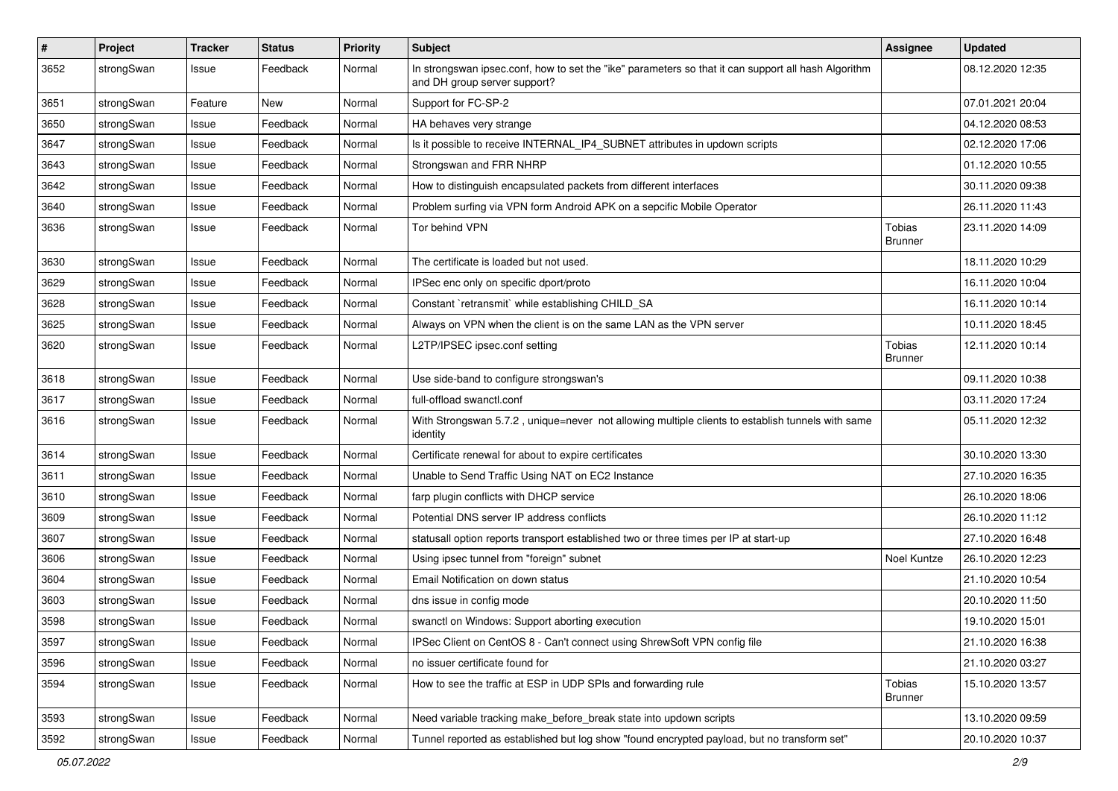| $\sharp$ | Project    | <b>Tracker</b> | <b>Status</b> | <b>Priority</b> | <b>Subject</b>                                                                                                                      | <b>Assignee</b>          | <b>Updated</b>   |
|----------|------------|----------------|---------------|-----------------|-------------------------------------------------------------------------------------------------------------------------------------|--------------------------|------------------|
| 3652     | strongSwan | Issue          | Feedback      | Normal          | In strongswan ipsec.conf, how to set the "ike" parameters so that it can support all hash Algorithm<br>and DH group server support? |                          | 08.12.2020 12:35 |
| 3651     | strongSwan | Feature        | New           | Normal          | Support for FC-SP-2                                                                                                                 |                          | 07.01.2021 20:04 |
| 3650     | strongSwan | Issue          | Feedback      | Normal          | HA behaves very strange                                                                                                             |                          | 04.12.2020 08:53 |
| 3647     | strongSwan | Issue          | Feedback      | Normal          | Is it possible to receive INTERNAL_IP4_SUBNET attributes in updown scripts                                                          |                          | 02.12.2020 17:06 |
| 3643     | strongSwan | Issue          | Feedback      | Normal          | Strongswan and FRR NHRP                                                                                                             |                          | 01.12.2020 10:55 |
| 3642     | strongSwan | Issue          | Feedback      | Normal          | How to distinguish encapsulated packets from different interfaces                                                                   |                          | 30.11.2020 09:38 |
| 3640     | strongSwan | Issue          | Feedback      | Normal          | Problem surfing via VPN form Android APK on a sepcific Mobile Operator                                                              |                          | 26.11.2020 11:43 |
| 3636     | strongSwan | Issue          | Feedback      | Normal          | Tor behind VPN                                                                                                                      | Tobias<br><b>Brunner</b> | 23.11.2020 14:09 |
| 3630     | strongSwan | Issue          | Feedback      | Normal          | The certificate is loaded but not used.                                                                                             |                          | 18.11.2020 10:29 |
| 3629     | strongSwan | Issue          | Feedback      | Normal          | IPSec enc only on specific dport/proto                                                                                              |                          | 16.11.2020 10:04 |
| 3628     | strongSwan | Issue          | Feedback      | Normal          | Constant `retransmit` while establishing CHILD_SA                                                                                   |                          | 16.11.2020 10:14 |
| 3625     | strongSwan | Issue          | Feedback      | Normal          | Always on VPN when the client is on the same LAN as the VPN server                                                                  |                          | 10.11.2020 18:45 |
| 3620     | strongSwan | Issue          | Feedback      | Normal          | L2TP/IPSEC ipsec.conf setting                                                                                                       | Tobias<br><b>Brunner</b> | 12.11.2020 10:14 |
| 3618     | strongSwan | Issue          | Feedback      | Normal          | Use side-band to configure strongswan's                                                                                             |                          | 09.11.2020 10:38 |
| 3617     | strongSwan | Issue          | Feedback      | Normal          | full-offload swanctl.conf                                                                                                           |                          | 03.11.2020 17:24 |
| 3616     | strongSwan | Issue          | Feedback      | Normal          | With Strongswan 5.7.2, unique=never not allowing multiple clients to establish tunnels with same<br>identity                        |                          | 05.11.2020 12:32 |
| 3614     | strongSwan | Issue          | Feedback      | Normal          | Certificate renewal for about to expire certificates                                                                                |                          | 30.10.2020 13:30 |
| 3611     | strongSwan | Issue          | Feedback      | Normal          | Unable to Send Traffic Using NAT on EC2 Instance                                                                                    |                          | 27.10.2020 16:35 |
| 3610     | strongSwan | Issue          | Feedback      | Normal          | farp plugin conflicts with DHCP service                                                                                             |                          | 26.10.2020 18:06 |
| 3609     | strongSwan | Issue          | Feedback      | Normal          | Potential DNS server IP address conflicts                                                                                           |                          | 26.10.2020 11:12 |
| 3607     | strongSwan | Issue          | Feedback      | Normal          | statusall option reports transport established two or three times per IP at start-up                                                |                          | 27.10.2020 16:48 |
| 3606     | strongSwan | Issue          | Feedback      | Normal          | Using ipsec tunnel from "foreign" subnet                                                                                            | Noel Kuntze              | 26.10.2020 12:23 |
| 3604     | strongSwan | Issue          | Feedback      | Normal          | Email Notification on down status                                                                                                   |                          | 21.10.2020 10:54 |
| 3603     | strongSwan | Issue          | Feedback      | Normal          | dns issue in config mode                                                                                                            |                          | 20.10.2020 11:50 |
| 3598     | strongSwan | Issue          | Feedback      | Normal          | swanctl on Windows: Support aborting execution                                                                                      |                          | 19.10.2020 15:01 |
| 3597     | strongSwan | Issue          | Feedback      | Normal          | IPSec Client on CentOS 8 - Can't connect using ShrewSoft VPN config file                                                            |                          | 21.10.2020 16:38 |
| 3596     | strongSwan | Issue          | Feedback      | Normal          | no issuer certificate found for                                                                                                     |                          | 21.10.2020 03:27 |
| 3594     | strongSwan | Issue          | Feedback      | Normal          | How to see the traffic at ESP in UDP SPIs and forwarding rule                                                                       | Tobias<br><b>Brunner</b> | 15.10.2020 13:57 |
| 3593     | strongSwan | Issue          | Feedback      | Normal          | Need variable tracking make_before_break state into updown scripts                                                                  |                          | 13.10.2020 09:59 |
| 3592     | strongSwan | Issue          | Feedback      | Normal          | Tunnel reported as established but log show "found encrypted payload, but no transform set"                                         |                          | 20.10.2020 10:37 |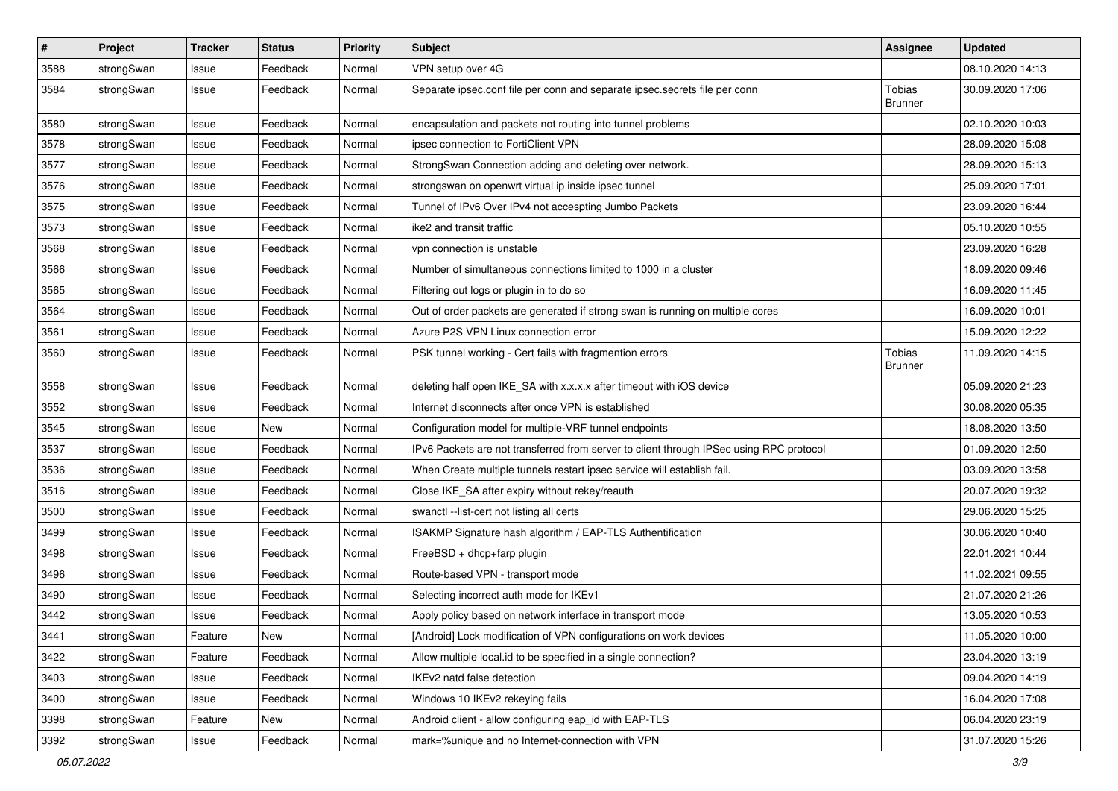| $\vert$ # | Project    | <b>Tracker</b> | <b>Status</b> | <b>Priority</b> | <b>Subject</b>                                                                          | <b>Assignee</b>                 | <b>Updated</b>   |
|-----------|------------|----------------|---------------|-----------------|-----------------------------------------------------------------------------------------|---------------------------------|------------------|
| 3588      | strongSwan | Issue          | Feedback      | Normal          | VPN setup over 4G                                                                       |                                 | 08.10.2020 14:13 |
| 3584      | strongSwan | Issue          | Feedback      | Normal          | Separate ipsec.conf file per conn and separate ipsec.secrets file per conn              | Tobias<br><b>Brunner</b>        | 30.09.2020 17:06 |
| 3580      | strongSwan | Issue          | Feedback      | Normal          | encapsulation and packets not routing into tunnel problems                              |                                 | 02.10.2020 10:03 |
| 3578      | strongSwan | Issue          | Feedback      | Normal          | ipsec connection to FortiClient VPN                                                     |                                 | 28.09.2020 15:08 |
| 3577      | strongSwan | Issue          | Feedback      | Normal          | StrongSwan Connection adding and deleting over network.                                 |                                 | 28.09.2020 15:13 |
| 3576      | strongSwan | Issue          | Feedback      | Normal          | strongswan on openwrt virtual ip inside ipsec tunnel                                    |                                 | 25.09.2020 17:01 |
| 3575      | strongSwan | Issue          | Feedback      | Normal          | Tunnel of IPv6 Over IPv4 not accespting Jumbo Packets                                   |                                 | 23.09.2020 16:44 |
| 3573      | strongSwan | Issue          | Feedback      | Normal          | ike2 and transit traffic                                                                |                                 | 05.10.2020 10:55 |
| 3568      | strongSwan | Issue          | Feedback      | Normal          | vpn connection is unstable                                                              |                                 | 23.09.2020 16:28 |
| 3566      | strongSwan | Issue          | Feedback      | Normal          | Number of simultaneous connections limited to 1000 in a cluster                         |                                 | 18.09.2020 09:46 |
| 3565      | strongSwan | Issue          | Feedback      | Normal          | Filtering out logs or plugin in to do so                                                |                                 | 16.09.2020 11:45 |
| 3564      | strongSwan | Issue          | Feedback      | Normal          | Out of order packets are generated if strong swan is running on multiple cores          |                                 | 16.09.2020 10:01 |
| 3561      | strongSwan | Issue          | Feedback      | Normal          | Azure P2S VPN Linux connection error                                                    |                                 | 15.09.2020 12:22 |
| 3560      | strongSwan | Issue          | Feedback      | Normal          | PSK tunnel working - Cert fails with fragmention errors                                 | <b>Tobias</b><br><b>Brunner</b> | 11.09.2020 14:15 |
| 3558      | strongSwan | Issue          | Feedback      | Normal          | deleting half open IKE_SA with x.x.x.x after timeout with iOS device                    |                                 | 05.09.2020 21:23 |
| 3552      | strongSwan | Issue          | Feedback      | Normal          | Internet disconnects after once VPN is established                                      |                                 | 30.08.2020 05:35 |
| 3545      | strongSwan | Issue          | New           | Normal          | Configuration model for multiple-VRF tunnel endpoints                                   |                                 | 18.08.2020 13:50 |
| 3537      | strongSwan | Issue          | Feedback      | Normal          | IPv6 Packets are not transferred from server to client through IPSec using RPC protocol |                                 | 01.09.2020 12:50 |
| 3536      | strongSwan | Issue          | Feedback      | Normal          | When Create multiple tunnels restart ipsec service will establish fail.                 |                                 | 03.09.2020 13:58 |
| 3516      | strongSwan | Issue          | Feedback      | Normal          | Close IKE_SA after expiry without rekey/reauth                                          |                                 | 20.07.2020 19:32 |
| 3500      | strongSwan | Issue          | Feedback      | Normal          | swanctl --list-cert not listing all certs                                               |                                 | 29.06.2020 15:25 |
| 3499      | strongSwan | Issue          | Feedback      | Normal          | ISAKMP Signature hash algorithm / EAP-TLS Authentification                              |                                 | 30.06.2020 10:40 |
| 3498      | strongSwan | Issue          | Feedback      | Normal          | FreeBSD + dhcp+farp plugin                                                              |                                 | 22.01.2021 10:44 |
| 3496      | strongSwan | Issue          | Feedback      | Normal          | Route-based VPN - transport mode                                                        |                                 | 11.02.2021 09:55 |
| 3490      | strongSwan | Issue          | Feedback      | Normal          | Selecting incorrect auth mode for IKEv1                                                 |                                 | 21.07.2020 21:26 |
| 3442      | strongSwan | Issue          | Feedback      | Normal          | Apply policy based on network interface in transport mode                               |                                 | 13.05.2020 10:53 |
| 3441      | strongSwan | Feature        | New           | Normal          | [Android] Lock modification of VPN configurations on work devices                       |                                 | 11.05.2020 10:00 |
| 3422      | strongSwan | Feature        | Feedback      | Normal          | Allow multiple local.id to be specified in a single connection?                         |                                 | 23.04.2020 13:19 |
| 3403      | strongSwan | Issue          | Feedback      | Normal          | IKEv2 natd false detection                                                              |                                 | 09.04.2020 14:19 |
| 3400      | strongSwan | Issue          | Feedback      | Normal          | Windows 10 IKEv2 rekeying fails                                                         |                                 | 16.04.2020 17:08 |
| 3398      | strongSwan | Feature        | New           | Normal          | Android client - allow configuring eap_id with EAP-TLS                                  |                                 | 06.04.2020 23:19 |
| 3392      | strongSwan | Issue          | Feedback      | Normal          | mark=%unique and no Internet-connection with VPN                                        |                                 | 31.07.2020 15:26 |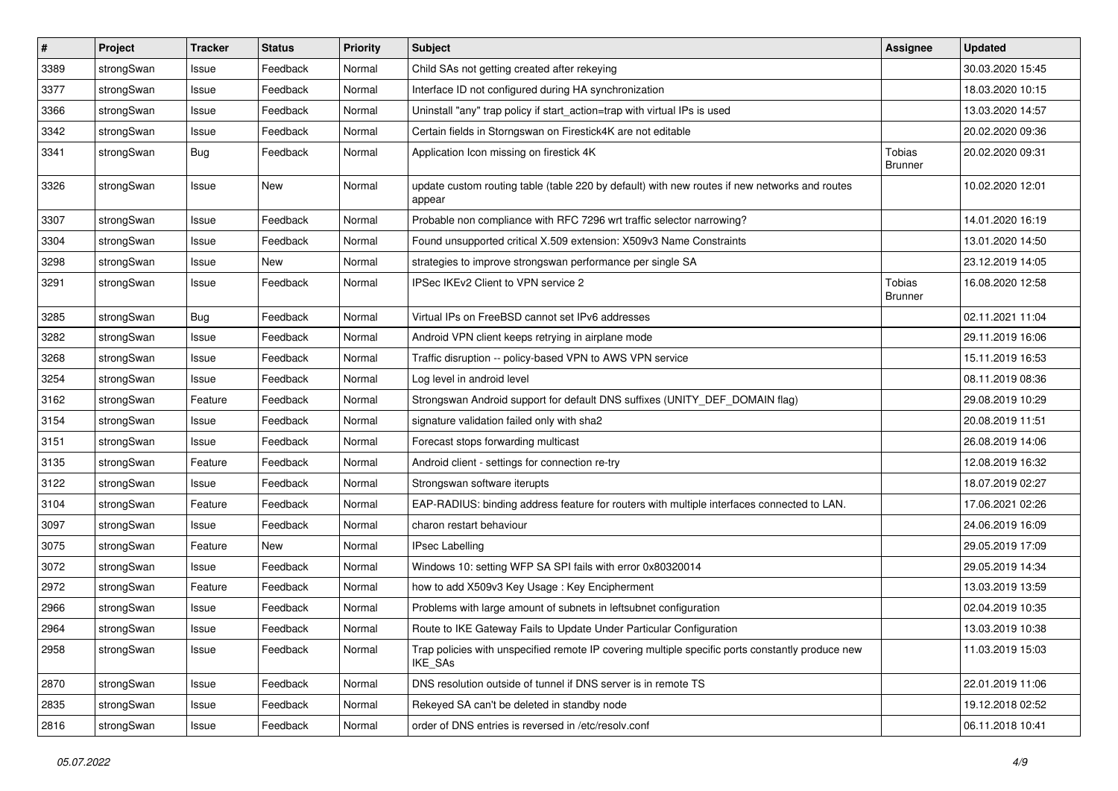| $\vert$ # | Project    | <b>Tracker</b> | <b>Status</b> | <b>Priority</b> | <b>Subject</b>                                                                                              | <b>Assignee</b>          | <b>Updated</b>   |
|-----------|------------|----------------|---------------|-----------------|-------------------------------------------------------------------------------------------------------------|--------------------------|------------------|
| 3389      | strongSwan | Issue          | Feedback      | Normal          | Child SAs not getting created after rekeying                                                                |                          | 30.03.2020 15:45 |
| 3377      | strongSwan | Issue          | Feedback      | Normal          | Interface ID not configured during HA synchronization                                                       |                          | 18.03.2020 10:15 |
| 3366      | strongSwan | Issue          | Feedback      | Normal          | Uninstall "any" trap policy if start_action=trap with virtual IPs is used                                   |                          | 13.03.2020 14:57 |
| 3342      | strongSwan | Issue          | Feedback      | Normal          | Certain fields in Storngswan on Firestick4K are not editable                                                |                          | 20.02.2020 09:36 |
| 3341      | strongSwan | Bug            | Feedback      | Normal          | Application Icon missing on firestick 4K                                                                    | Tobias<br><b>Brunner</b> | 20.02.2020 09:31 |
| 3326      | strongSwan | Issue          | New           | Normal          | update custom routing table (table 220 by default) with new routes if new networks and routes<br>appear     |                          | 10.02.2020 12:01 |
| 3307      | strongSwan | Issue          | Feedback      | Normal          | Probable non compliance with RFC 7296 wrt traffic selector narrowing?                                       |                          | 14.01.2020 16:19 |
| 3304      | strongSwan | Issue          | Feedback      | Normal          | Found unsupported critical X.509 extension: X509v3 Name Constraints                                         |                          | 13.01.2020 14:50 |
| 3298      | strongSwan | Issue          | New           | Normal          | strategies to improve strongswan performance per single SA                                                  |                          | 23.12.2019 14:05 |
| 3291      | strongSwan | Issue          | Feedback      | Normal          | IPSec IKEv2 Client to VPN service 2                                                                         | Tobias<br><b>Brunner</b> | 16.08.2020 12:58 |
| 3285      | strongSwan | Bug            | Feedback      | Normal          | Virtual IPs on FreeBSD cannot set IPv6 addresses                                                            |                          | 02.11.2021 11:04 |
| 3282      | strongSwan | Issue          | Feedback      | Normal          | Android VPN client keeps retrying in airplane mode                                                          |                          | 29.11.2019 16:06 |
| 3268      | strongSwan | Issue          | Feedback      | Normal          | Traffic disruption -- policy-based VPN to AWS VPN service                                                   |                          | 15.11.2019 16:53 |
| 3254      | strongSwan | Issue          | Feedback      | Normal          | Log level in android level                                                                                  |                          | 08.11.2019 08:36 |
| 3162      | strongSwan | Feature        | Feedback      | Normal          | Strongswan Android support for default DNS suffixes (UNITY_DEF_DOMAIN flag)                                 |                          | 29.08.2019 10:29 |
| 3154      | strongSwan | Issue          | Feedback      | Normal          | signature validation failed only with sha2                                                                  |                          | 20.08.2019 11:51 |
| 3151      | strongSwan | Issue          | Feedback      | Normal          | Forecast stops forwarding multicast                                                                         |                          | 26.08.2019 14:06 |
| 3135      | strongSwan | Feature        | Feedback      | Normal          | Android client - settings for connection re-try                                                             |                          | 12.08.2019 16:32 |
| 3122      | strongSwan | Issue          | Feedback      | Normal          | Strongswan software iterupts                                                                                |                          | 18.07.2019 02:27 |
| 3104      | strongSwan | Feature        | Feedback      | Normal          | EAP-RADIUS: binding address feature for routers with multiple interfaces connected to LAN.                  |                          | 17.06.2021 02:26 |
| 3097      | strongSwan | Issue          | Feedback      | Normal          | charon restart behaviour                                                                                    |                          | 24.06.2019 16:09 |
| 3075      | strongSwan | Feature        | New           | Normal          | <b>IPsec Labelling</b>                                                                                      |                          | 29.05.2019 17:09 |
| 3072      | strongSwan | Issue          | Feedback      | Normal          | Windows 10: setting WFP SA SPI fails with error 0x80320014                                                  |                          | 29.05.2019 14:34 |
| 2972      | strongSwan | Feature        | Feedback      | Normal          | how to add X509v3 Key Usage: Key Encipherment                                                               |                          | 13.03.2019 13:59 |
| 2966      | strongSwan | Issue          | Feedback      | Normal          | Problems with large amount of subnets in leftsubnet configuration                                           |                          | 02.04.2019 10:35 |
| 2964      | strongSwan | Issue          | Feedback      | Normal          | Route to IKE Gateway Fails to Update Under Particular Configuration                                         |                          | 13.03.2019 10:38 |
| 2958      | strongSwan | Issue          | Feedback      | Normal          | Trap policies with unspecified remote IP covering multiple specific ports constantly produce new<br>IKE_SAs |                          | 11.03.2019 15:03 |
| 2870      | strongSwan | Issue          | Feedback      | Normal          | DNS resolution outside of tunnel if DNS server is in remote TS                                              |                          | 22.01.2019 11:06 |
| 2835      | strongSwan | Issue          | Feedback      | Normal          | Rekeyed SA can't be deleted in standby node                                                                 |                          | 19.12.2018 02:52 |
| 2816      | strongSwan | Issue          | Feedback      | Normal          | order of DNS entries is reversed in /etc/resolv.conf                                                        |                          | 06.11.2018 10:41 |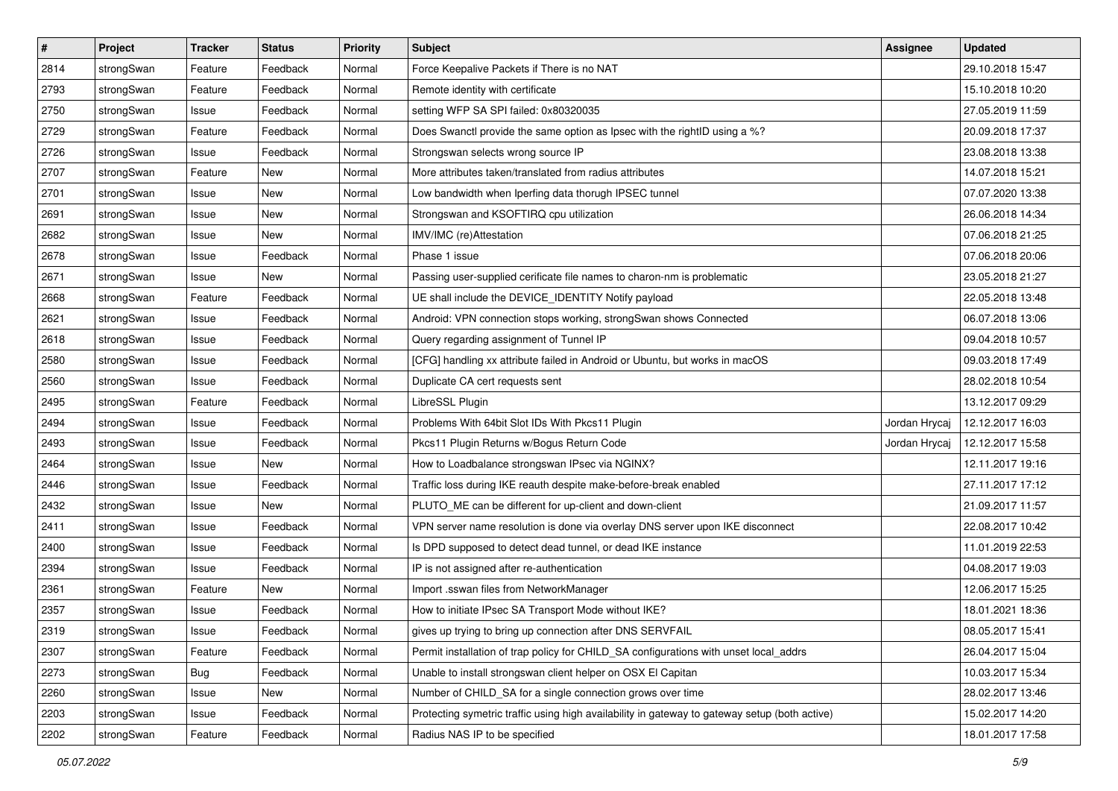| $\pmb{\#}$ | Project    | <b>Tracker</b> | <b>Status</b> | <b>Priority</b> | <b>Subject</b>                                                                                | <b>Assignee</b> | <b>Updated</b>   |
|------------|------------|----------------|---------------|-----------------|-----------------------------------------------------------------------------------------------|-----------------|------------------|
| 2814       | strongSwan | Feature        | Feedback      | Normal          | Force Keepalive Packets if There is no NAT                                                    |                 | 29.10.2018 15:47 |
| 2793       | strongSwan | Feature        | Feedback      | Normal          | Remote identity with certificate                                                              |                 | 15.10.2018 10:20 |
| 2750       | strongSwan | Issue          | Feedback      | Normal          | setting WFP SA SPI failed: 0x80320035                                                         |                 | 27.05.2019 11:59 |
| 2729       | strongSwan | Feature        | Feedback      | Normal          | Does Swanctl provide the same option as Ipsec with the rightID using a %?                     |                 | 20.09.2018 17:37 |
| 2726       | strongSwan | Issue          | Feedback      | Normal          | Strongswan selects wrong source IP                                                            |                 | 23.08.2018 13:38 |
| 2707       | strongSwan | Feature        | New           | Normal          | More attributes taken/translated from radius attributes                                       |                 | 14.07.2018 15:21 |
| 2701       | strongSwan | Issue          | New           | Normal          | Low bandwidth when Iperfing data thorugh IPSEC tunnel                                         |                 | 07.07.2020 13:38 |
| 2691       | strongSwan | Issue          | New           | Normal          | Strongswan and KSOFTIRQ cpu utilization                                                       |                 | 26.06.2018 14:34 |
| 2682       | strongSwan | Issue          | New           | Normal          | IMV/IMC (re)Attestation                                                                       |                 | 07.06.2018 21:25 |
| 2678       | strongSwan | Issue          | Feedback      | Normal          | Phase 1 issue                                                                                 |                 | 07.06.2018 20:06 |
| 2671       | strongSwan | Issue          | New           | Normal          | Passing user-supplied cerificate file names to charon-nm is problematic                       |                 | 23.05.2018 21:27 |
| 2668       | strongSwan | Feature        | Feedback      | Normal          | UE shall include the DEVICE_IDENTITY Notify payload                                           |                 | 22.05.2018 13:48 |
| 2621       | strongSwan | Issue          | Feedback      | Normal          | Android: VPN connection stops working, strongSwan shows Connected                             |                 | 06.07.2018 13:06 |
| 2618       | strongSwan | Issue          | Feedback      | Normal          | Query regarding assignment of Tunnel IP                                                       |                 | 09.04.2018 10:57 |
| 2580       | strongSwan | Issue          | Feedback      | Normal          | [CFG] handling xx attribute failed in Android or Ubuntu, but works in macOS                   |                 | 09.03.2018 17:49 |
| 2560       | strongSwan | Issue          | Feedback      | Normal          | Duplicate CA cert requests sent                                                               |                 | 28.02.2018 10:54 |
| 2495       | strongSwan | Feature        | Feedback      | Normal          | LibreSSL Plugin                                                                               |                 | 13.12.2017 09:29 |
| 2494       | strongSwan | Issue          | Feedback      | Normal          | Problems With 64bit Slot IDs With Pkcs11 Plugin                                               | Jordan Hrycaj   | 12.12.2017 16:03 |
| 2493       | strongSwan | Issue          | Feedback      | Normal          | Pkcs11 Plugin Returns w/Bogus Return Code                                                     | Jordan Hrycaj   | 12.12.2017 15:58 |
| 2464       | strongSwan | Issue          | New           | Normal          | How to Loadbalance strongswan IPsec via NGINX?                                                |                 | 12.11.2017 19:16 |
| 2446       | strongSwan | Issue          | Feedback      | Normal          | Traffic loss during IKE reauth despite make-before-break enabled                              |                 | 27.11.2017 17:12 |
| 2432       | strongSwan | Issue          | New           | Normal          | PLUTO_ME can be different for up-client and down-client                                       |                 | 21.09.2017 11:57 |
| 2411       | strongSwan | Issue          | Feedback      | Normal          | VPN server name resolution is done via overlay DNS server upon IKE disconnect                 |                 | 22.08.2017 10:42 |
| 2400       | strongSwan | Issue          | Feedback      | Normal          | Is DPD supposed to detect dead tunnel, or dead IKE instance                                   |                 | 11.01.2019 22:53 |
| 2394       | strongSwan | Issue          | Feedback      | Normal          | IP is not assigned after re-authentication                                                    |                 | 04.08.2017 19:03 |
| 2361       | strongSwan | Feature        | New           | Normal          | Import .sswan files from NetworkManager                                                       |                 | 12.06.2017 15:25 |
| 2357       | strongSwan | Issue          | Feedback      | Normal          | How to initiate IPsec SA Transport Mode without IKE?                                          |                 | 18.01.2021 18:36 |
| 2319       | strongSwan | Issue          | Feedback      | Normal          | gives up trying to bring up connection after DNS SERVFAIL                                     |                 | 08.05.2017 15:41 |
| 2307       | strongSwan | Feature        | Feedback      | Normal          | Permit installation of trap policy for CHILD_SA configurations with unset local_addrs         |                 | 26.04.2017 15:04 |
| 2273       | strongSwan | Bug            | Feedback      | Normal          | Unable to install strongswan client helper on OSX El Capitan                                  |                 | 10.03.2017 15:34 |
| 2260       | strongSwan | Issue          | New           | Normal          | Number of CHILD_SA for a single connection grows over time                                    |                 | 28.02.2017 13:46 |
| 2203       | strongSwan | Issue          | Feedback      | Normal          | Protecting symetric traffic using high availability in gateway to gateway setup (both active) |                 | 15.02.2017 14:20 |
| 2202       | strongSwan | Feature        | Feedback      | Normal          | Radius NAS IP to be specified                                                                 |                 | 18.01.2017 17:58 |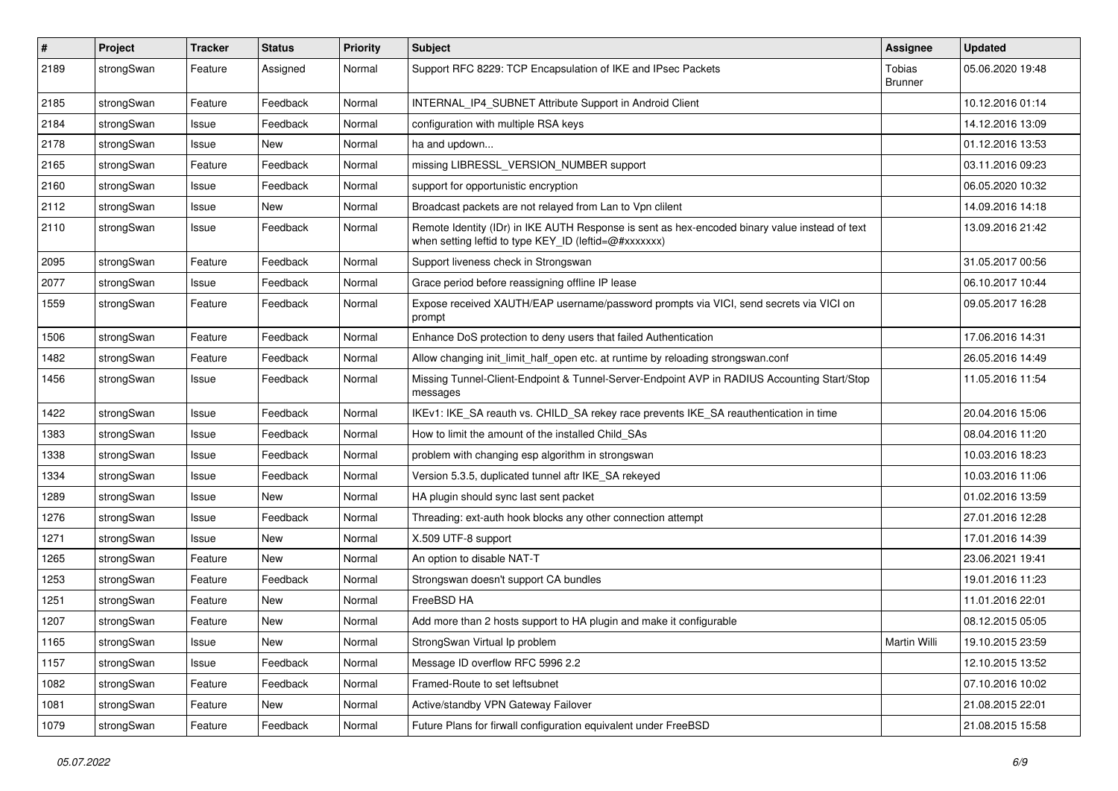| $\sharp$ | Project    | <b>Tracker</b> | <b>Status</b> | <b>Priority</b> | <b>Subject</b>                                                                                                                                          | <b>Assignee</b>          | <b>Updated</b>   |
|----------|------------|----------------|---------------|-----------------|---------------------------------------------------------------------------------------------------------------------------------------------------------|--------------------------|------------------|
| 2189     | strongSwan | Feature        | Assigned      | Normal          | Support RFC 8229: TCP Encapsulation of IKE and IPsec Packets                                                                                            | Tobias<br><b>Brunner</b> | 05.06.2020 19:48 |
| 2185     | strongSwan | Feature        | Feedback      | Normal          | INTERNAL_IP4_SUBNET Attribute Support in Android Client                                                                                                 |                          | 10.12.2016 01:14 |
| 2184     | strongSwan | Issue          | Feedback      | Normal          | configuration with multiple RSA keys                                                                                                                    |                          | 14.12.2016 13:09 |
| 2178     | strongSwan | Issue          | <b>New</b>    | Normal          | ha and updown                                                                                                                                           |                          | 01.12.2016 13:53 |
| 2165     | strongSwan | Feature        | Feedback      | Normal          | missing LIBRESSL_VERSION_NUMBER support                                                                                                                 |                          | 03.11.2016 09:23 |
| 2160     | strongSwan | Issue          | Feedback      | Normal          | support for opportunistic encryption                                                                                                                    |                          | 06.05.2020 10:32 |
| 2112     | strongSwan | Issue          | New           | Normal          | Broadcast packets are not relayed from Lan to Vpn clilent                                                                                               |                          | 14.09.2016 14:18 |
| 2110     | strongSwan | Issue          | Feedback      | Normal          | Remote Identity (IDr) in IKE AUTH Response is sent as hex-encoded binary value instead of text<br>when setting leftid to type KEY_ID (leftid=@#xxxxxxx) |                          | 13.09.2016 21:42 |
| 2095     | strongSwan | Feature        | Feedback      | Normal          | Support liveness check in Strongswan                                                                                                                    |                          | 31.05.2017 00:56 |
| 2077     | strongSwan | Issue          | Feedback      | Normal          | Grace period before reassigning offline IP lease                                                                                                        |                          | 06.10.2017 10:44 |
| 1559     | strongSwan | Feature        | Feedback      | Normal          | Expose received XAUTH/EAP username/password prompts via VICI, send secrets via VICI on<br>prompt                                                        |                          | 09.05.2017 16:28 |
| 1506     | strongSwan | Feature        | Feedback      | Normal          | Enhance DoS protection to deny users that failed Authentication                                                                                         |                          | 17.06.2016 14:31 |
| 1482     | strongSwan | Feature        | Feedback      | Normal          | Allow changing init_limit_half_open etc. at runtime by reloading strongswan.conf                                                                        |                          | 26.05.2016 14:49 |
| 1456     | strongSwan | Issue          | Feedback      | Normal          | Missing Tunnel-Client-Endpoint & Tunnel-Server-Endpoint AVP in RADIUS Accounting Start/Stop<br>messages                                                 |                          | 11.05.2016 11:54 |
| 1422     | strongSwan | Issue          | Feedback      | Normal          | IKEv1: IKE_SA reauth vs. CHILD_SA rekey race prevents IKE_SA reauthentication in time                                                                   |                          | 20.04.2016 15:06 |
| 1383     | strongSwan | Issue          | Feedback      | Normal          | How to limit the amount of the installed Child SAs                                                                                                      |                          | 08.04.2016 11:20 |
| 1338     | strongSwan | Issue          | Feedback      | Normal          | problem with changing esp algorithm in strongswan                                                                                                       |                          | 10.03.2016 18:23 |
| 1334     | strongSwan | Issue          | Feedback      | Normal          | Version 5.3.5, duplicated tunnel aftr IKE_SA rekeyed                                                                                                    |                          | 10.03.2016 11:06 |
| 1289     | strongSwan | Issue          | New           | Normal          | HA plugin should sync last sent packet                                                                                                                  |                          | 01.02.2016 13:59 |
| 1276     | strongSwan | Issue          | Feedback      | Normal          | Threading: ext-auth hook blocks any other connection attempt                                                                                            |                          | 27.01.2016 12:28 |
| 1271     | strongSwan | Issue          | <b>New</b>    | Normal          | X.509 UTF-8 support                                                                                                                                     |                          | 17.01.2016 14:39 |
| 1265     | strongSwan | Feature        | <b>New</b>    | Normal          | An option to disable NAT-T                                                                                                                              |                          | 23.06.2021 19:41 |
| 1253     | strongSwan | Feature        | Feedback      | Normal          | Strongswan doesn't support CA bundles                                                                                                                   |                          | 19.01.2016 11:23 |
| 1251     | strongSwan | Feature        | New           | Normal          | FreeBSD HA                                                                                                                                              |                          | 11.01.2016 22:01 |
| 1207     | strongSwan | Feature        | New           | Normal          | Add more than 2 hosts support to HA plugin and make it configurable                                                                                     |                          | 08.12.2015 05:05 |
| 1165     | strongSwan | Issue          | New           | Normal          | StrongSwan Virtual Ip problem                                                                                                                           | Martin Willi             | 19.10.2015 23:59 |
| 1157     | strongSwan | Issue          | Feedback      | Normal          | Message ID overflow RFC 5996 2.2                                                                                                                        |                          | 12.10.2015 13:52 |
| 1082     | strongSwan | Feature        | Feedback      | Normal          | Framed-Route to set leftsubnet                                                                                                                          |                          | 07.10.2016 10:02 |
| 1081     | strongSwan | Feature        | New           | Normal          | Active/standby VPN Gateway Failover                                                                                                                     |                          | 21.08.2015 22:01 |
| 1079     | strongSwan | Feature        | Feedback      | Normal          | Future Plans for firwall configuration equivalent under FreeBSD                                                                                         |                          | 21.08.2015 15:58 |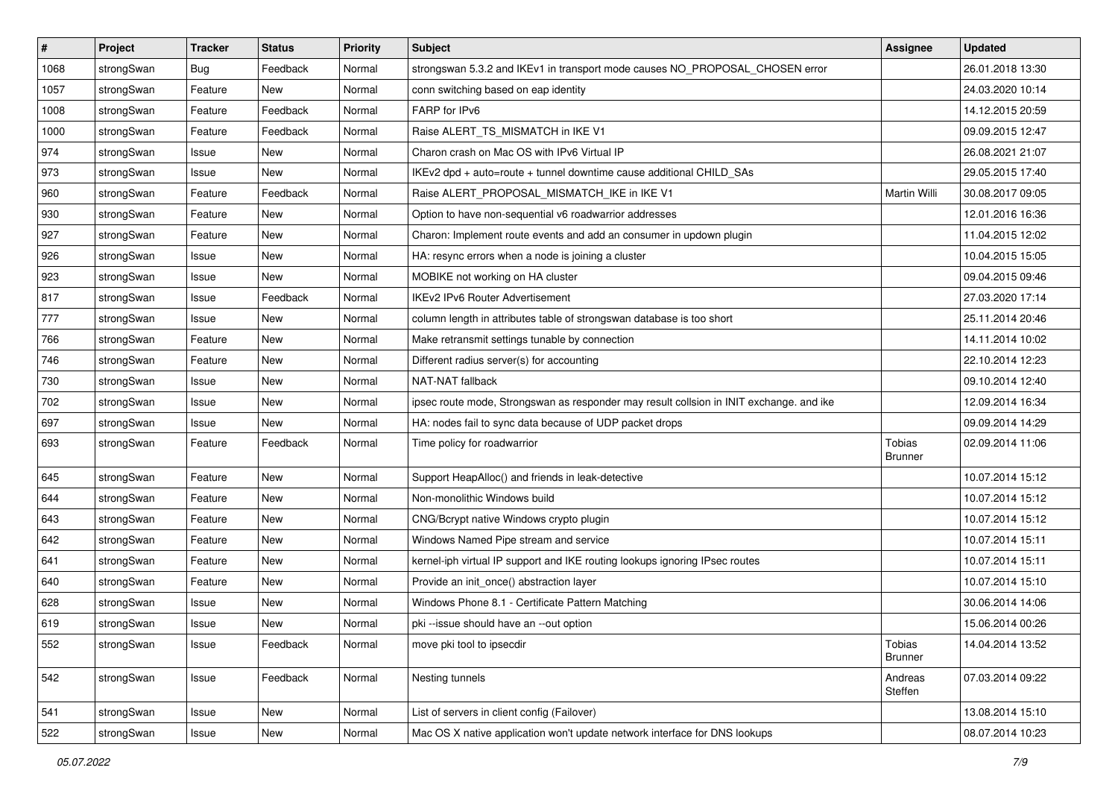| $\vert$ # | Project    | <b>Tracker</b> | <b>Status</b> | <b>Priority</b> | Subject                                                                                 | <b>Assignee</b>          | <b>Updated</b>   |
|-----------|------------|----------------|---------------|-----------------|-----------------------------------------------------------------------------------------|--------------------------|------------------|
| 1068      | strongSwan | Bug            | Feedback      | Normal          | strongswan 5.3.2 and IKEv1 in transport mode causes NO_PROPOSAL_CHOSEN error            |                          | 26.01.2018 13:30 |
| 1057      | strongSwan | Feature        | New           | Normal          | conn switching based on eap identity                                                    |                          | 24.03.2020 10:14 |
| 1008      | strongSwan | Feature        | Feedback      | Normal          | FARP for IPv6                                                                           |                          | 14.12.2015 20:59 |
| 1000      | strongSwan | Feature        | Feedback      | Normal          | Raise ALERT_TS_MISMATCH in IKE V1                                                       |                          | 09.09.2015 12:47 |
| 974       | strongSwan | Issue          | <b>New</b>    | Normal          | Charon crash on Mac OS with IPv6 Virtual IP                                             |                          | 26.08.2021 21:07 |
| 973       | strongSwan | Issue          | New           | Normal          | IKEv2 dpd + auto=route + tunnel downtime cause additional CHILD SAs                     |                          | 29.05.2015 17:40 |
| 960       | strongSwan | Feature        | Feedback      | Normal          | Raise ALERT_PROPOSAL_MISMATCH_IKE in IKE V1                                             | Martin Willi             | 30.08.2017 09:05 |
| 930       | strongSwan | Feature        | New           | Normal          | Option to have non-sequential v6 roadwarrior addresses                                  |                          | 12.01.2016 16:36 |
| 927       | strongSwan | Feature        | New           | Normal          | Charon: Implement route events and add an consumer in updown plugin                     |                          | 11.04.2015 12:02 |
| 926       | strongSwan | Issue          | New           | Normal          | HA: resync errors when a node is joining a cluster                                      |                          | 10.04.2015 15:05 |
| 923       | strongSwan | Issue          | New           | Normal          | MOBIKE not working on HA cluster                                                        |                          | 09.04.2015 09:46 |
| 817       | strongSwan | Issue          | Feedback      | Normal          | <b>IKEv2 IPv6 Router Advertisement</b>                                                  |                          | 27.03.2020 17:14 |
| 777       | strongSwan | Issue          | <b>New</b>    | Normal          | column length in attributes table of strongswan database is too short                   |                          | 25.11.2014 20:46 |
| 766       | strongSwan | Feature        | New           | Normal          | Make retransmit settings tunable by connection                                          |                          | 14.11.2014 10:02 |
| 746       | strongSwan | Feature        | <b>New</b>    | Normal          | Different radius server(s) for accounting                                               |                          | 22.10.2014 12:23 |
| 730       | strongSwan | Issue          | New           | Normal          | NAT-NAT fallback                                                                        |                          | 09.10.2014 12:40 |
| 702       | strongSwan | Issue          | New           | Normal          | ipsec route mode, Strongswan as responder may result collsion in INIT exchange. and ike |                          | 12.09.2014 16:34 |
| 697       | strongSwan | Issue          | <b>New</b>    | Normal          | HA: nodes fail to sync data because of UDP packet drops                                 |                          | 09.09.2014 14:29 |
| 693       | strongSwan | Feature        | Feedback      | Normal          | Time policy for roadwarrior                                                             | Tobias<br><b>Brunner</b> | 02.09.2014 11:06 |
| 645       | strongSwan | Feature        | <b>New</b>    | Normal          | Support HeapAlloc() and friends in leak-detective                                       |                          | 10.07.2014 15:12 |
| 644       | strongSwan | Feature        | <b>New</b>    | Normal          | Non-monolithic Windows build                                                            |                          | 10.07.2014 15:12 |
| 643       | strongSwan | Feature        | <b>New</b>    | Normal          | CNG/Bcrypt native Windows crypto plugin                                                 |                          | 10.07.2014 15:12 |
| 642       | strongSwan | Feature        | New           | Normal          | Windows Named Pipe stream and service                                                   |                          | 10.07.2014 15:11 |
| 641       | strongSwan | Feature        | New           | Normal          | kernel-iph virtual IP support and IKE routing lookups ignoring IPsec routes             |                          | 10.07.2014 15:11 |
| 640       | strongSwan | Feature        | New           | Normal          | Provide an init_once() abstraction layer                                                |                          | 10.07.2014 15:10 |
| 628       | strongSwan | Issue          | New           | Normal          | Windows Phone 8.1 - Certificate Pattern Matching                                        |                          | 30.06.2014 14:06 |
| 619       | strongSwan | Issue          | New           | Normal          | pki --issue should have an --out option                                                 |                          | 15.06.2014 00:26 |
| 552       | strongSwan | Issue          | Feedback      | Normal          | move pki tool to ipsecdir                                                               | Tobias<br><b>Brunner</b> | 14.04.2014 13:52 |
| 542       | strongSwan | Issue          | Feedback      | Normal          | Nesting tunnels                                                                         | Andreas<br>Steffen       | 07.03.2014 09:22 |
| 541       | strongSwan | Issue          | New           | Normal          | List of servers in client config (Failover)                                             |                          | 13.08.2014 15:10 |
| 522       | strongSwan | Issue          | New           | Normal          | Mac OS X native application won't update network interface for DNS lookups              |                          | 08.07.2014 10:23 |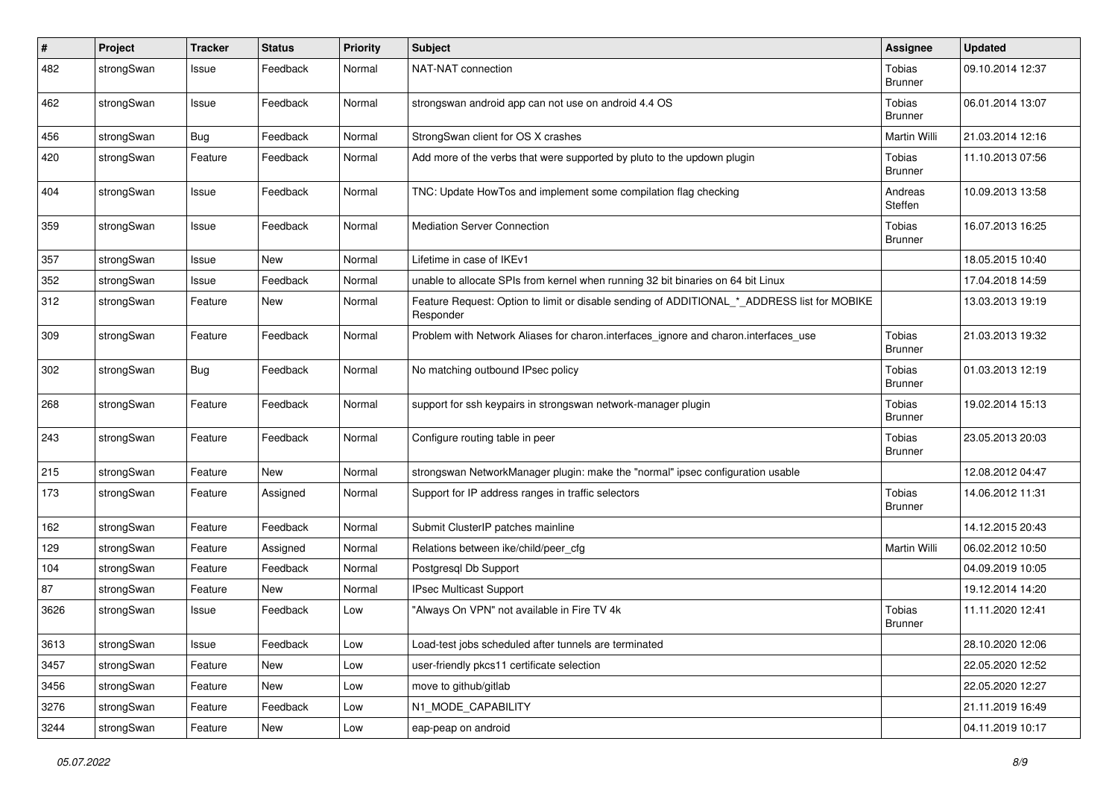| #    | Project    | <b>Tracker</b> | <b>Status</b> | <b>Priority</b> | <b>Subject</b>                                                                                           | <b>Assignee</b>          | <b>Updated</b>   |
|------|------------|----------------|---------------|-----------------|----------------------------------------------------------------------------------------------------------|--------------------------|------------------|
| 482  | strongSwan | Issue          | Feedback      | Normal          | NAT-NAT connection                                                                                       | Tobias<br><b>Brunner</b> | 09.10.2014 12:37 |
| 462  | strongSwan | Issue          | Feedback      | Normal          | strongswan android app can not use on android 4.4 OS                                                     | Tobias<br><b>Brunner</b> | 06.01.2014 13:07 |
| 456  | strongSwan | <b>Bug</b>     | Feedback      | Normal          | StrongSwan client for OS X crashes                                                                       | Martin Willi             | 21.03.2014 12:16 |
| 420  | strongSwan | Feature        | Feedback      | Normal          | Add more of the verbs that were supported by pluto to the updown plugin                                  | Tobias<br><b>Brunner</b> | 11.10.2013 07:56 |
| 404  | strongSwan | Issue          | Feedback      | Normal          | TNC: Update HowTos and implement some compilation flag checking                                          | Andreas<br>Steffen       | 10.09.2013 13:58 |
| 359  | strongSwan | Issue          | Feedback      | Normal          | <b>Mediation Server Connection</b>                                                                       | Tobias<br><b>Brunner</b> | 16.07.2013 16:25 |
| 357  | strongSwan | Issue          | <b>New</b>    | Normal          | Lifetime in case of IKEv1                                                                                |                          | 18.05.2015 10:40 |
| 352  | strongSwan | Issue          | Feedback      | Normal          | unable to allocate SPIs from kernel when running 32 bit binaries on 64 bit Linux                         |                          | 17.04.2018 14:59 |
| 312  | strongSwan | Feature        | New           | Normal          | Feature Request: Option to limit or disable sending of ADDITIONAL_*_ADDRESS list for MOBIKE<br>Responder |                          | 13.03.2013 19:19 |
| 309  | strongSwan | Feature        | Feedback      | Normal          | Problem with Network Aliases for charon.interfaces_ignore and charon.interfaces_use                      | Tobias<br><b>Brunner</b> | 21.03.2013 19:32 |
| 302  | strongSwan | Bug            | Feedback      | Normal          | No matching outbound IPsec policy                                                                        | Tobias<br>Brunner        | 01.03.2013 12:19 |
| 268  | strongSwan | Feature        | Feedback      | Normal          | support for ssh keypairs in strongswan network-manager plugin                                            | Tobias<br><b>Brunner</b> | 19.02.2014 15:13 |
| 243  | strongSwan | Feature        | Feedback      | Normal          | Configure routing table in peer                                                                          | Tobias<br><b>Brunner</b> | 23.05.2013 20:03 |
| 215  | strongSwan | Feature        | New           | Normal          | strongswan NetworkManager plugin: make the "normal" ipsec configuration usable                           |                          | 12.08.2012 04:47 |
| 173  | strongSwan | Feature        | Assigned      | Normal          | Support for IP address ranges in traffic selectors                                                       | Tobias<br><b>Brunner</b> | 14.06.2012 11:31 |
| 162  | strongSwan | Feature        | Feedback      | Normal          | Submit ClusterIP patches mainline                                                                        |                          | 14.12.2015 20:43 |
| 129  | strongSwan | Feature        | Assigned      | Normal          | Relations between ike/child/peer cfg                                                                     | Martin Willi             | 06.02.2012 10:50 |
| 104  | strongSwan | Feature        | Feedback      | Normal          | Postgresql Db Support                                                                                    |                          | 04.09.2019 10:05 |
| 87   | strongSwan | Feature        | New           | Normal          | <b>IPsec Multicast Support</b>                                                                           |                          | 19.12.2014 14:20 |
| 3626 | strongSwan | Issue          | Feedback      | Low             | 'Always On VPN" not available in Fire TV 4k                                                              | Tobias<br>Brunner        | 11.11.2020 12:41 |
| 3613 | strongSwan | Issue          | Feedback      | Low             | Load-test jobs scheduled after tunnels are terminated                                                    |                          | 28.10.2020 12:06 |
| 3457 | strongSwan | Feature        | New           | Low             | user-friendly pkcs11 certificate selection                                                               |                          | 22.05.2020 12:52 |
| 3456 | strongSwan | Feature        | New           | Low             | move to github/gitlab                                                                                    |                          | 22.05.2020 12:27 |
| 3276 | strongSwan | Feature        | Feedback      | Low             | N1_MODE_CAPABILITY                                                                                       |                          | 21.11.2019 16:49 |
| 3244 | strongSwan | Feature        | New           | Low             | eap-peap on android                                                                                      |                          | 04.11.2019 10:17 |